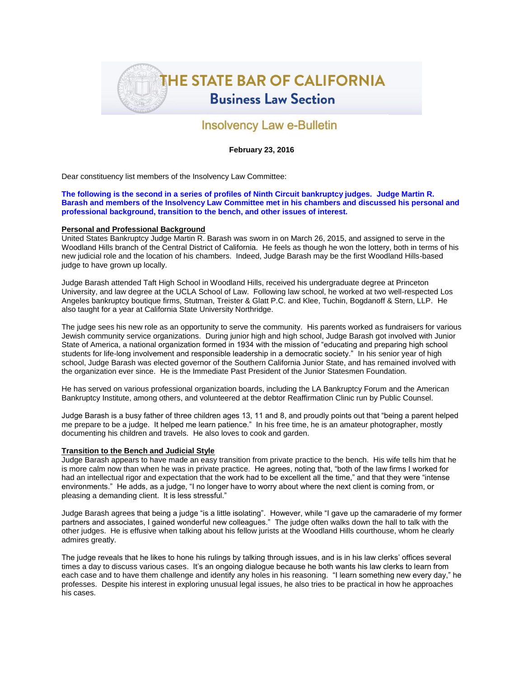

# **Insolvency Law e-Bulletin**

## **February 23, 2016**

Dear constituency list members of the Insolvency Law Committee:

**The following is the second in a series of profiles of Ninth Circuit bankruptcy judges. Judge Martin R. Barash and members of the Insolvency Law Committee met in his chambers and discussed his personal and professional background, transition to the bench, and other issues of interest.**

### **Personal and Professional Background**

United States Bankruptcy Judge Martin R. Barash was sworn in on March 26, 2015, and assigned to serve in the Woodland Hills branch of the Central District of California. He feels as though he won the lottery, both in terms of his new judicial role and the location of his chambers. Indeed, Judge Barash may be the first Woodland Hills-based judge to have grown up locally.

Judge Barash attended Taft High School in Woodland Hills, received his undergraduate degree at Princeton University, and law degree at the UCLA School of Law. Following law school, he worked at two well-respected Los Angeles bankruptcy boutique firms, Stutman, Treister & Glatt P.C. and Klee, Tuchin, Bogdanoff & Stern, LLP. He also taught for a year at California State University Northridge.

The judge sees his new role as an opportunity to serve the community. His parents worked as fundraisers for various Jewish community service organizations. During junior high and high school, Judge Barash got involved with Junior State of America, a national organization formed in 1934 with the mission of "educating and preparing high school students for life-long involvement and responsible leadership in a democratic society." In his senior year of high school, Judge Barash was elected governor of the Southern California Junior State, and has remained involved with the organization ever since. He is the Immediate Past President of the Junior Statesmen Foundation.

He has served on various professional organization boards, including the LA Bankruptcy Forum and the American Bankruptcy Institute, among others, and volunteered at the debtor Reaffirmation Clinic run by Public Counsel.

Judge Barash is a busy father of three children ages 13, 11 and 8, and proudly points out that "being a parent helped me prepare to be a judge. It helped me learn patience." In his free time, he is an amateur photographer, mostly documenting his children and travels. He also loves to cook and garden.

### **Transition to the Bench and Judicial Style**

Judge Barash appears to have made an easy transition from private practice to the bench. His wife tells him that he is more calm now than when he was in private practice. He agrees, noting that, "both of the law firms I worked for had an intellectual rigor and expectation that the work had to be excellent all the time," and that they were "intense environments." He adds, as a judge, "I no longer have to worry about where the next client is coming from, or pleasing a demanding client. It is less stressful."

Judge Barash agrees that being a judge "is a little isolating". However, while "I gave up the camaraderie of my former partners and associates, I gained wonderful new colleagues." The judge often walks down the hall to talk with the other judges. He is effusive when talking about his fellow jurists at the Woodland Hills courthouse, whom he clearly admires greatly.

The judge reveals that he likes to hone his rulings by talking through issues, and is in his law clerks' offices several times a day to discuss various cases. It's an ongoing dialogue because he both wants his law clerks to learn from each case and to have them challenge and identify any holes in his reasoning. "I learn something new every day," he professes. Despite his interest in exploring unusual legal issues, he also tries to be practical in how he approaches his cases.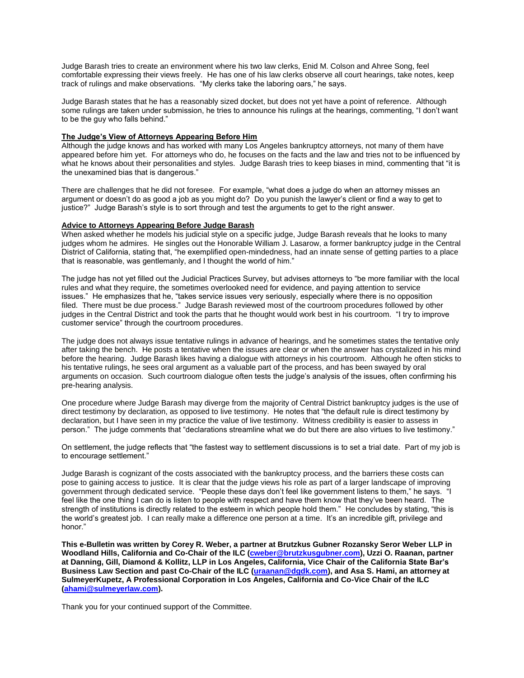Judge Barash tries to create an environment where his two law clerks, Enid M. Colson and Ahree Song, feel comfortable expressing their views freely. He has one of his law clerks observe all court hearings, take notes, keep track of rulings and make observations. "My clerks take the laboring oars," he says.

Judge Barash states that he has a reasonably sized docket, but does not yet have a point of reference. Although some rulings are taken under submission, he tries to announce his rulings at the hearings, commenting, "I don't want to be the guy who falls behind."

### **The Judge's View of Attorneys Appearing Before Him**

Although the judge knows and has worked with many Los Angeles bankruptcy attorneys, not many of them have appeared before him yet. For attorneys who do, he focuses on the facts and the law and tries not to be influenced by what he knows about their personalities and styles. Judge Barash tries to keep biases in mind, commenting that "it is the unexamined bias that is dangerous."

There are challenges that he did not foresee. For example, "what does a judge do when an attorney misses an argument or doesn't do as good a job as you might do? Do you punish the lawyer's client or find a way to get to justice?" Judge Barash's style is to sort through and test the arguments to get to the right answer.

#### **Advice to Attorneys Appearing Before Judge Barash**

When asked whether he models his judicial style on a specific judge, Judge Barash reveals that he looks to many judges whom he admires. He singles out the Honorable William J. Lasarow, a former bankruptcy judge in the Central District of California, stating that, "he exemplified open-mindedness, had an innate sense of getting parties to a place that is reasonable, was gentlemanly, and I thought the world of him."

The judge has not yet filled out the Judicial Practices Survey, but advises attorneys to "be more familiar with the local rules and what they require, the sometimes overlooked need for evidence, and paying attention to service issues." He emphasizes that he, "takes service issues very seriously, especially where there is no opposition filed. There must be due process." Judge Barash reviewed most of the courtroom procedures followed by other judges in the Central District and took the parts that he thought would work best in his courtroom. "I try to improve customer service" through the courtroom procedures.

The judge does not always issue tentative rulings in advance of hearings, and he sometimes states the tentative only after taking the bench. He posts a tentative when the issues are clear or when the answer has crystalized in his mind before the hearing. Judge Barash likes having a dialogue with attorneys in his courtroom. Although he often sticks to his tentative rulings, he sees oral argument as a valuable part of the process, and has been swayed by oral arguments on occasion. Such courtroom dialogue often tests the judge's analysis of the issues, often confirming his pre-hearing analysis.

One procedure where Judge Barash may diverge from the majority of Central District bankruptcy judges is the use of direct testimony by declaration, as opposed to live testimony. He notes that "the default rule is direct testimony by declaration, but I have seen in my practice the value of live testimony. Witness credibility is easier to assess in person." The judge comments that "declarations streamline what we do but there are also virtues to live testimony."

On settlement, the judge reflects that "the fastest way to settlement discussions is to set a trial date. Part of my job is to encourage settlement."

Judge Barash is cognizant of the costs associated with the bankruptcy process, and the barriers these costs can pose to gaining access to justice. It is clear that the judge views his role as part of a larger landscape of improving government through dedicated service. "People these days don't feel like government listens to them," he says. "I feel like the one thing I can do is listen to people with respect and have them know that they've been heard. The strength of institutions is directly related to the esteem in which people hold them." He concludes by stating, "this is the world's greatest job. I can really make a difference one person at a time. It's an incredible gift, privilege and honor."

**This e-Bulletin was written by Corey R. Weber, a partner at Brutzkus Gubner Rozansky Seror Weber LLP in Woodland Hills, California and Co-Chair of the ILC [\(cweber@brutzkusgubner.com\)](mailto:cweber@brutzkusgubner.com), Uzzi O. Raanan, partner at Danning, Gill, Diamond & Kollitz, LLP in Los Angeles, California, Vice Chair of the California State Bar's Business Law Section and past Co-Chair of the ILC [\(uraanan@dgdk.com\)](mailto:uraanan@dgdk.com), and Asa S. Hami, an attorney at SulmeyerKupetz, A Professional Corporation in Los Angeles, California and Co-Vice Chair of the ILC [\(ahami@sulmeyerlaw.com\)](mailto:ahami@sulmeyerlaw.com).**

Thank you for your continued support of the Committee.